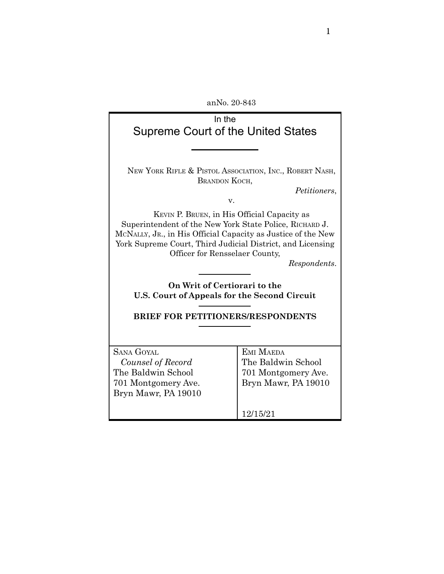anNo. 20-843

| In the<br>Supreme Court of the United States                                                                                                                                                                                                                                           |                     |  |
|----------------------------------------------------------------------------------------------------------------------------------------------------------------------------------------------------------------------------------------------------------------------------------------|---------------------|--|
|                                                                                                                                                                                                                                                                                        |                     |  |
|                                                                                                                                                                                                                                                                                        |                     |  |
| NEW YORK RIFLE & PISTOL ASSOCIATION, INC., ROBERT NASH,<br>BRANDON KOCH,<br>Petitioners,                                                                                                                                                                                               |                     |  |
| v.                                                                                                                                                                                                                                                                                     |                     |  |
| KEVIN P. BRUEN, in His Official Capacity as<br>Superintendent of the New York State Police, RICHARD J.<br>MCNALLY, JR., in His Official Capacity as Justice of the New<br>York Supreme Court, Third Judicial District, and Licensing<br>Officer for Rensselaer County,<br>Respondents. |                     |  |
| On Writ of Certiorari to the                                                                                                                                                                                                                                                           |                     |  |
|                                                                                                                                                                                                                                                                                        |                     |  |
| U.S. Court of Appeals for the Second Circuit                                                                                                                                                                                                                                           |                     |  |
| <b>BRIEF FOR PETITIONERS/RESPONDENTS</b>                                                                                                                                                                                                                                               |                     |  |
|                                                                                                                                                                                                                                                                                        |                     |  |
| <b>SANA GOYAL</b>                                                                                                                                                                                                                                                                      | EMI MAEDA           |  |
| Counsel of Record                                                                                                                                                                                                                                                                      | The Baldwin School  |  |
| The Baldwin School                                                                                                                                                                                                                                                                     |                     |  |
|                                                                                                                                                                                                                                                                                        | 701 Montgomery Ave. |  |
| 701 Montgomery Ave.                                                                                                                                                                                                                                                                    | Bryn Mawr, PA 19010 |  |
| Bryn Mawr, PA 19010                                                                                                                                                                                                                                                                    |                     |  |
|                                                                                                                                                                                                                                                                                        |                     |  |
|                                                                                                                                                                                                                                                                                        | 12/15/21            |  |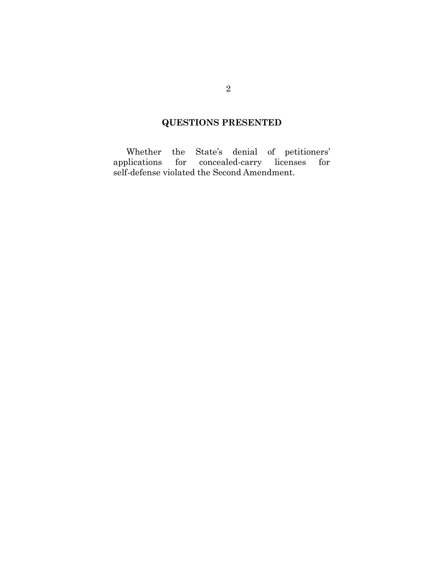## **QUESTIONS PRESENTED**

Whether the State's denial of petitioners' applications for concealed-carry licenses for self-defense violated the Second Amendment.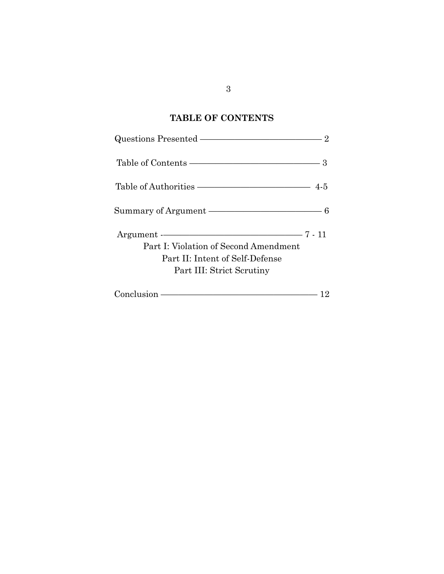# **TABLE OF CONTENTS**

| Questions Presented ————————————————————                                                                                                                                                                                      | 2 |
|-------------------------------------------------------------------------------------------------------------------------------------------------------------------------------------------------------------------------------|---|
|                                                                                                                                                                                                                               |   |
|                                                                                                                                                                                                                               |   |
| Summary of Argument ————————————————————                                                                                                                                                                                      |   |
| $Argument$ $ 7 - 11$<br>Part I: Violation of Second Amendment<br>Part II: Intent of Self-Defense<br>Part III: Strict Scrutiny                                                                                                 |   |
| Conclusion – Conclusion – Conclusion – Conclusion – Concern – Concern – Concern – Concern – Concern – Concern – Concern – Concern – Concern – Concern – Concern – Concern – Concern – Concern – Concern – Concern – Concern – |   |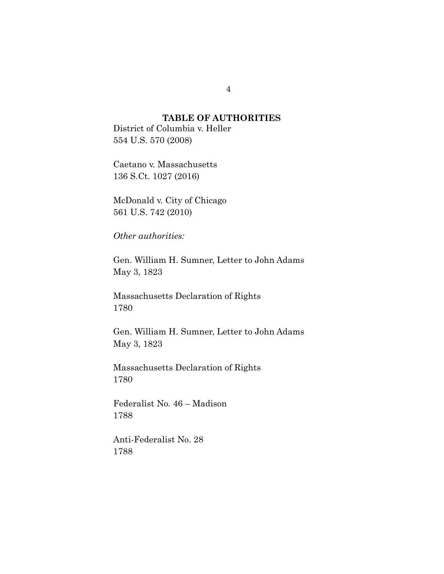#### **TABLE OF AUTHORITIES**

District of Columbia v. Heller 554 U.S. 570 (2008)

Caetano v. Massachusetts 136 S.Ct. 1027 (2016)

McDonald v. City of Chicago 561 U.S. 742 (2010)

*Other authorities:*

Gen. William H. Sumner, Letter to John Adams May 3, 1823

Massachusetts Declaration of Rights 1780

Gen. William H. Sumner, Letter to John Adams May 3, 1823

Massachusetts Declaration of Rights 1780

Federalist No. 46 – Madison 1788

Anti-Federalist No. 28 1788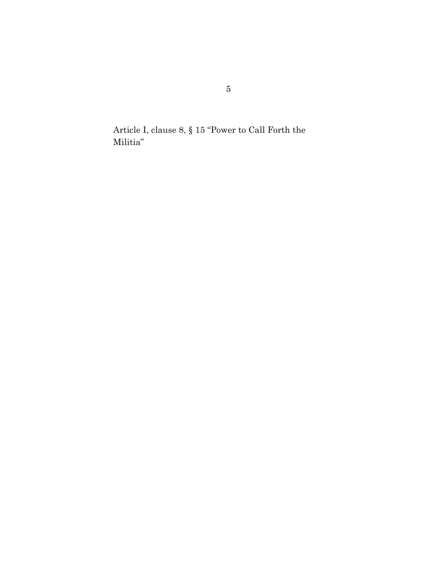Article I, clause 8, § 15 "Power to Call Forth the Militia"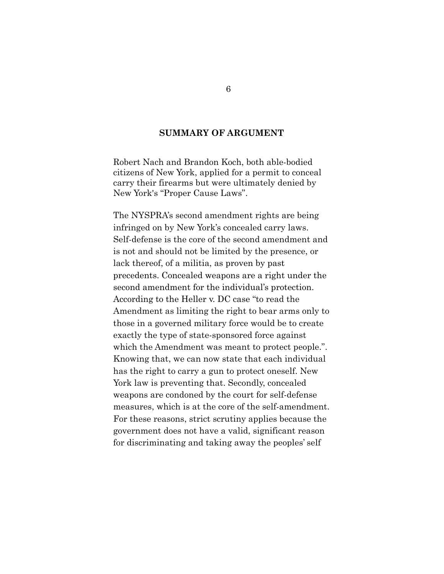#### **SUMMARY OF ARGUMENT**

Robert Nach and Brandon Koch, both able-bodied citizens of New York, applied for a permit to conceal carry their firearms but were ultimately denied by New York's "Proper Cause Laws".

The NYSPRA's second amendment rights are being infringed on by New York's concealed carry laws. Self-defense is the core of the second amendment and is not and should not be limited by the presence, or lack thereof, of a militia, as proven by past precedents. Concealed weapons are a right under the second amendment for the individual's protection. According to the Heller v. DC case "to read the Amendment as limiting the right to bear arms only to those in a governed military force would be to create exactly the type of state-sponsored force against which the Amendment was meant to protect people.". Knowing that, we can now state that each individual has the right to carry a gun to protect oneself. New York law is preventing that. Secondly, concealed weapons are condoned by the court for self-defense measures, which is at the core of the self-amendment. For these reasons, strict scrutiny applies because the government does not have a valid, significant reason for discriminating and taking away the peoples' self

6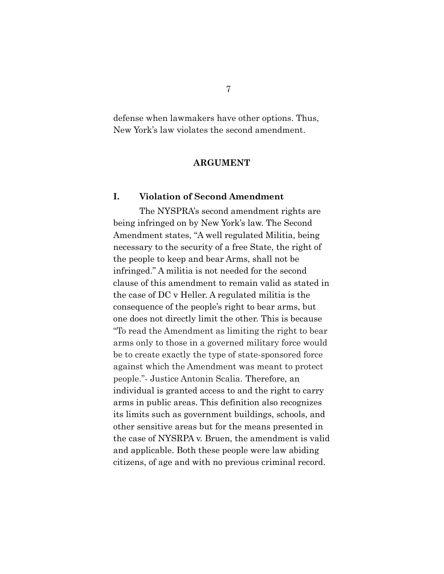defense when lawmakers have other options. Thus, New York's law violates the second amendment.

#### **ARGUMENT**

#### **I. Violation of Second Amendment**

The NYSPRA's second amendment rights are being infringed on by New York's law. The Second Amendment states, "A well regulated Militia, being necessary to the security of a free State, the right of the people to keep and bear Arms, shall not be infringed." A militia is not needed for the second clause of this amendment to remain valid as stated in the case of DC v Heller. A regulated militia is the consequence of the people's right to bear arms, but one does not directly limit the other. This is because "To read the Amendment as limiting the right to bear arms only to those in a governed military force would be to create exactly the type of state-sponsored force against which the Amendment was meant to protect people."- Justice Antonin Scalia. Therefore, an individual is granted access to and the right to carry arms in public areas. This definition also recognizes its limits such as government buildings, schools, and other sensitive areas but for the means presented in the case of NYSRPA v. Bruen, the amendment is valid and applicable. Both these people were law abiding citizens, of age and with no previous criminal record.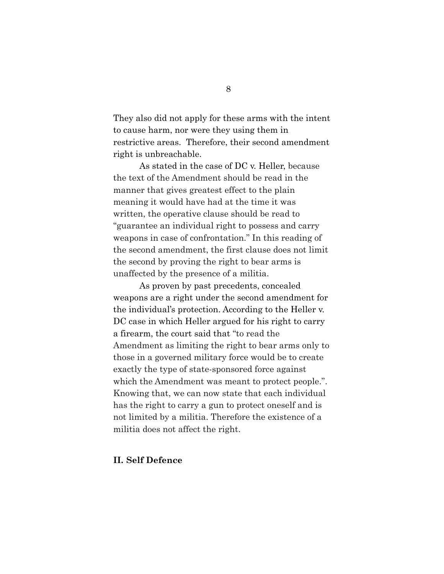They also did not apply for these arms with the intent to cause harm, nor were they using them in restrictive areas. Therefore, their second amendment right is unbreachable.

As stated in the case of DC v. Heller, because the text of the Amendment should be read in the manner that gives greatest effect to the plain meaning it would have had at the time it was written, the operative clause should be read to "guarantee an individual right to possess and carry weapons in case of confrontation." In this reading of the second amendment, the first clause does not limit the second by proving the right to bear arms is unaffected by the presence of a militia.

As proven by past precedents, concealed weapons are a right under the second amendment for the individual's protection. According to the Heller v. DC case in which Heller argued for his right to carry a firearm, the court said that "to read the Amendment as limiting the right to bear arms only to those in a governed military force would be to create exactly the type of state-sponsored force against which the Amendment was meant to protect people.". Knowing that, we can now state that each individual has the right to carry a gun to protect oneself and is not limited by a militia. Therefore the existence of a militia does not affect the right.

#### **II. Self Defence**

8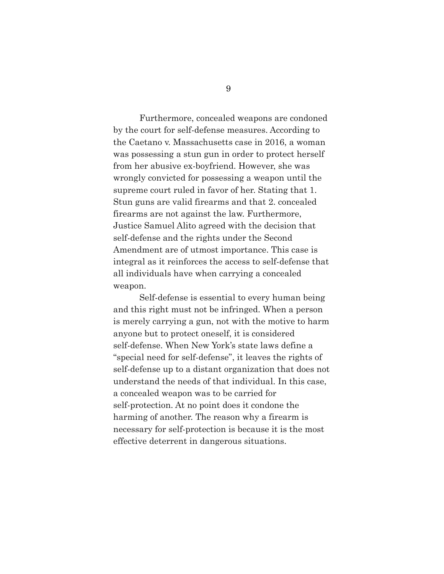Furthermore, concealed weapons are condoned by the court for self-defense measures. According to the Caetano v. Massachusetts case in 2016, a woman was possessing a stun gun in order to protect herself from her abusive ex-boyfriend. However, she was wrongly convicted for possessing a weapon until the supreme court ruled in favor of her. Stating that 1. Stun guns are valid firearms and that 2. concealed firearms are not against the law. Furthermore, Justice Samuel Alito agreed with the decision that self-defense and the rights under the Second Amendment are of utmost importance. This case is integral as it reinforces the access to self-defense that all individuals have when carrying a concealed weapon.

Self-defense is essential to every human being and this right must not be infringed. When a person is merely carrying a gun, not with the motive to harm anyone but to protect oneself, it is considered self-defense. When New York's state laws define a "special need for self-defense", it leaves the rights of self-defense up to a distant organization that does not understand the needs of that individual. In this case, a concealed weapon was to be carried for self-protection. At no point does it condone the harming of another. The reason why a firearm is necessary for self-protection is because it is the most effective deterrent in dangerous situations.

9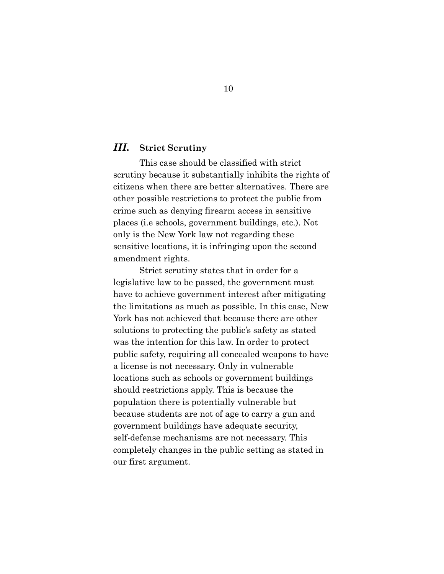#### *III.* **Strict Scrutiny**

This case should be classified with strict scrutiny because it substantially inhibits the rights of citizens when there are better alternatives. There are other possible restrictions to protect the public from crime such as denying firearm access in sensitive places (i.e schools, government buildings, etc.). Not only is the New York law not regarding these sensitive locations, it is infringing upon the second amendment rights.

Strict scrutiny states that in order for a legislative law to be passed, the government must have to achieve government interest after mitigating the limitations as much as possible. In this case, New York has not achieved that because there are other solutions to protecting the public's safety as stated was the intention for this law. In order to protect public safety, requiring all concealed weapons to have a license is not necessary. Only in vulnerable locations such as schools or government buildings should restrictions apply. This is because the population there is potentially vulnerable but because students are not of age to carry a gun and government buildings have adequate security, self-defense mechanisms are not necessary. This completely changes in the public setting as stated in our first argument.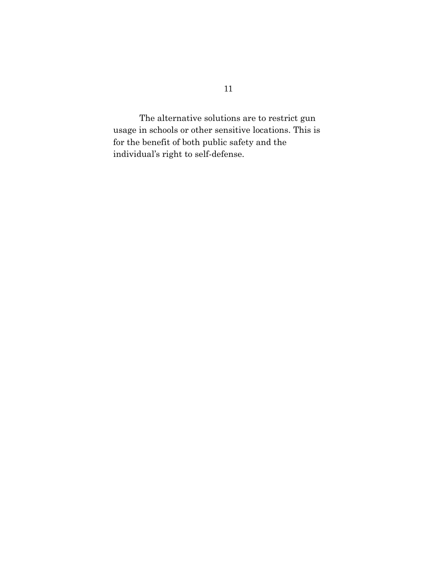The alternative solutions are to restrict gun usage in schools or other sensitive locations. This is for the benefit of both public safety and the individual's right to self-defense.